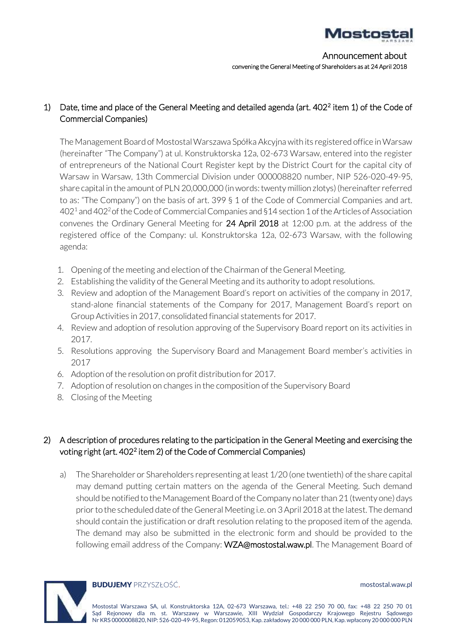

Announcement about convening the General Meeting of Shareholders as at 24 April 2018

# 1) Date, time and place of the General Meeting and detailed agenda (art. 402<sup>2</sup> item 1) of the Code of Commercial Companies)

The Management Board of Mostostal Warszawa Spółka Akcyjna with its registered office in Warsaw (hereinafter "The Company") at ul. Konstruktorska 12a, 02-673 Warsaw, entered into the register of entrepreneurs of the National Court Register kept by the District Court for the capital city of Warsaw in Warsaw, 13th Commercial Division under 000008820 number, NIP 526-020-49-95, share capital in the amount of PLN 20,000,000 (in words: twenty million zlotys) (hereinafter referred to as: "The Company") on the basis of art. 399 § 1 of the Code of Commercial Companies and art.  $402<sup>1</sup>$  and  $402<sup>2</sup>$  of the Code of Commercial Companies and §14 section 1 of the Articles of Association convenes the Ordinary General Meeting for 24 April 2018 at 12:00 p.m. at the address of the registered office of the Company: ul. Konstruktorska 12a, 02-673 Warsaw, with the following agenda:

- 1. Opening of the meeting and election of the Chairman of the General Meeting.
- 2. Establishing the validity of the General Meeting and its authority to adopt resolutions.
- 3. Review and adoption of the Management Board's report on activities of the company in 2017, stand-alone financial statements of the Company for 2017, Management Board's report on Group Activities in 2017, consolidated financial statements for 2017.
- 4. Review and adoption of resolution approving of the Supervisory Board report on its activities in 2017.
- 5. Resolutions approving the Supervisory Board and Management Board member's activities in 2017
- 6. Adoption of the resolution on profit distribution for 2017.
- 7. Adoption of resolution on changes in the composition of the Supervisory Board
- 8. Closing of the Meeting

# 2) A description of procedures relating to the participation in the General Meeting and exercising the voting right (art. 402<sup>2</sup> item 2) of the Code of Commercial Companies)

a) The Shareholder or Shareholders representing at least 1/20 (one twentieth) of the share capital may demand putting certain matters on the agenda of the General Meeting. Such demand should be notified to the Management Board of the Company no later than 21 (twenty one) days prior to the scheduled date of the General Meeting i.e. on 3April 2018 at the latest. The demand should contain the justification or draft resolution relating to the proposed item of the agenda. The demand may also be submitted in the electronic form and should be provided to the following email address of the Company: WZA@mostostal.waw.pl. The Management Board of



#### **BUDUJEMY** PRZYSZłOŚĆ.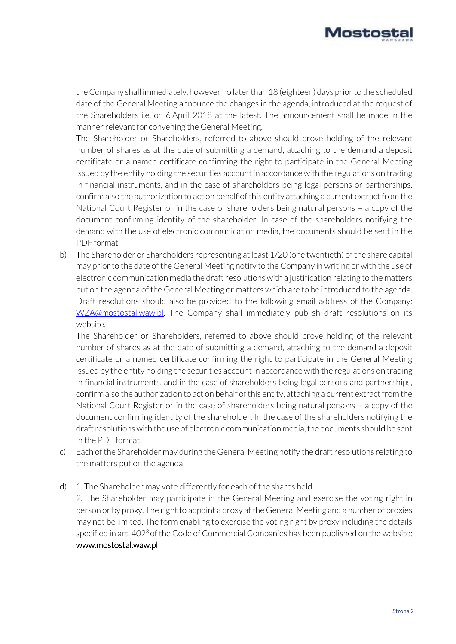

the Company shall immediately, however no later than 18 (eighteen) days prior to the scheduled date of the General Meeting announce the changes in the agenda, introduced at the request of the Shareholders i.e. on 6 April 2018 at the latest. The announcement shall be made in the manner relevant for convening the General Meeting.

The Shareholder or Shareholders, referred to above should prove holding of the relevant number of shares as at the date of submitting a demand, attaching to the demand a deposit certificate or a named certificate confirming the right to participate in the General Meeting issued by the entity holding the securities account in accordance with the regulations on trading in financial instruments, and in the case of shareholders being legal persons or partnerships, confirm also the authorization to act on behalf of this entity attaching a current extract from the National Court Register or in the case of shareholders being natural persons – a copy of the document confirming identity of the shareholder. In case of the shareholders notifying the demand with the use of electronic communication media, the documents should be sent in the PDF format.

b) The Shareholder or Shareholders representing at least 1/20 (one twentieth) of the share capital may prior to the date of the General Meeting notify to the Company in writing or with the use of electronic communication media the draft resolutions with a justification relating to the matters put on the agenda of the General Meeting or matters which are to be introduced to the agenda. Draft resolutions should also be provided to the following email address of the Company: [WZA@mostostal.waw.pl.](mailto:WZA@mostostal.waw.pl) The Company shall immediately publish draft resolutions on its website.

The Shareholder or Shareholders, referred to above should prove holding of the relevant number of shares as at the date of submitting a demand, attaching to the demand a deposit certificate or a named certificate confirming the right to participate in the General Meeting issued by the entity holding the securities account in accordance with the regulations on trading in financial instruments, and in the case of shareholders being legal persons and partnerships, confirm also the authorization to act on behalf of this entity, attaching a current extract from the National Court Register or in the case of shareholders being natural persons – a copy of the document confirming identity of the shareholder. In the case of the shareholders notifying the draft resolutions with the use of electronic communication media, the documents should be sent in the PDF format.

- c) Each of the Shareholder may during the General Meeting notify the draft resolutions relating to the matters put on the agenda.
- d) 1. The Shareholder may vote differently for each of the shares held.

2. The Shareholder may participate in the General Meeting and exercise the voting right in person or by proxy. The right to appoint a proxy at the General Meeting and a number of proxies may not be limited. The form enabling to exercise the voting right by proxy including the details specified in art. 402<sup>3</sup> of the Code of Commercial Companies has been published on the website: www.mostostal.waw.pl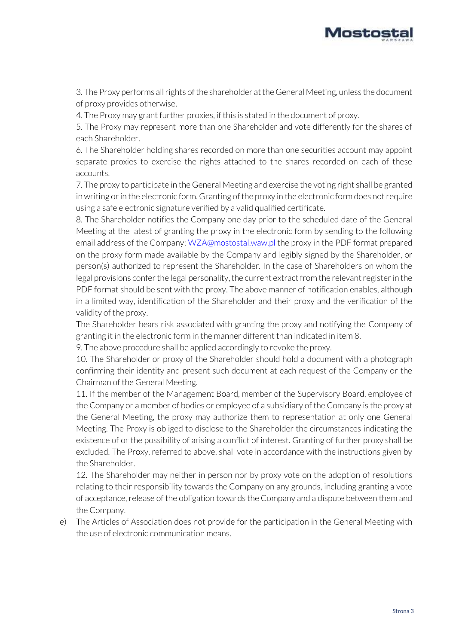

3. The Proxy performs all rights of the shareholder at the General Meeting, unless the document of proxy provides otherwise.

4. The Proxy may grant further proxies, if this is stated in the document of proxy.

5. The Proxy may represent more than one Shareholder and vote differently for the shares of each Shareholder.

6. The Shareholder holding shares recorded on more than one securities account may appoint separate proxies to exercise the rights attached to the shares recorded on each of these accounts.

7. The proxy to participate in the General Meeting and exercise the voting right shall be granted in writing or in the electronic form. Granting of the proxy in the electronic form does not require using a safe electronic signature verified by a valid qualified certificate.

8. The Shareholder notifies the Company one day prior to the scheduled date of the General Meeting at the latest of granting the proxy in the electronic form by sending to the following email address of the Company[: WZA@mostostal.waw.pl](mailto:WZA@mostostal.waw.pl) the proxy in the PDF format prepared on the proxy form made available by the Company and legibly signed by the Shareholder, or person(s) authorized to represent the Shareholder. In the case of Shareholders on whom the legal provisions confer the legal personality, the current extract from the relevant register in the PDF format should be sent with the proxy. The above manner of notification enables, although in a limited way, identification of the Shareholder and their proxy and the verification of the validity of the proxy.

The Shareholder bears risk associated with granting the proxy and notifying the Company of granting it in the electronic form in the manner different than indicated in item 8.

9. The above procedure shall be applied accordingly to revoke the proxy.

10. The Shareholder or proxy of the Shareholder should hold a document with a photograph confirming their identity and present such document at each request of the Company or the Chairman of the General Meeting.

11. If the member of the Management Board, member of the Supervisory Board, employee of the Company or a member of bodies or employee of a subsidiary of the Company is the proxy at the General Meeting, the proxy may authorize them to representation at only one General Meeting. The Proxy is obliged to disclose to the Shareholder the circumstances indicating the existence of or the possibility of arising a conflict of interest. Granting of further proxy shall be excluded. The Proxy, referred to above, shall vote in accordance with the instructions given by the Shareholder.

12. The Shareholder may neither in person nor by proxy vote on the adoption of resolutions relating to their responsibility towards the Company on any grounds, including granting a vote of acceptance, release of the obligation towards the Company and a dispute between them and the Company.

e) The Articles of Association does not provide for the participation in the General Meeting with the use of electronic communication means.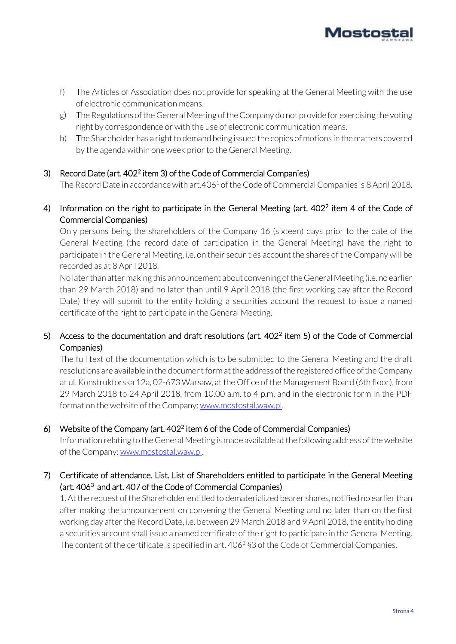

- f) The Articles of Association does not provide for speaking at the General Meeting with the use of electronic communication means.
- g) The Regulations of the General Meeting of the Company do not provide for exercising the voting right by correspondence or with the use of electronic communication means.
- h) The Shareholder has a right to demand being issued the copies of motions in the matters covered by the agenda within one week prior to the General Meeting.

## 3) Record Date (art. 402<sup>2</sup> item 3) of the Code of Commercial Companies)

The Record Date in accordance with art.406<sup>1</sup> of the Code of Commercial Companies is 8 April 2018.

4) Information on the right to participate in the General Meeting (art. 402<sup>2</sup> item 4 of the Code of Commercial Companies)

Only persons being the shareholders of the Company 16 (sixteen) days prior to the date of the General Meeting (the record date of participation in the General Meeting) have the right to participate in the General Meeting, i.e. on their securities account the shares of the Company will be recorded as at 8 April 2018.

No later than after making this announcement about convening of the General Meeting (i.e. no earlier than 29 March 2018) and no later than until 9 April 2018 (the first working day after the Record Date) they will submit to the entity holding a securities account the request to issue a named certificate of the right to participate in the General Meeting.

## 5) Access to the documentation and draft resolutions (art. 402<sup>2</sup> item 5) of the Code of Commercial Companies)

The full text of the documentation which is to be submitted to the General Meeting and the draft resolutions are available in the document form at the address of the registered office of the Company at ul. Konstruktorska 12a, 02-673 Warsaw, at the Office of the Management Board (6th floor), from 29 March 2018 to 24 April 2018, from 10.00 a.m. to 4 p.m. and in the electronic form in the PDF format on the website of the Company[: www.mostostal.waw.pl.](http://www.mostostal.waw.pl/)

# 6) Website of the Company (art.  $402<sup>2</sup>$  item 6 of the Code of Commercial Companies)

Information relating to the General Meeting is made available at the following address of the website of the Company: [www.mostostal.waw.pl.](http://www.mostostal.waw.pl/)

# 7) Certificate of attendance. List. List of Shareholders entitled to participate in the General Meeting (art. 406<sup>3</sup> and art. 407 of the Code of Commercial Companies)

1. At the request of the Shareholder entitled to dematerialized bearer shares, notified no earlier than after making the announcement on convening the General Meeting and no later than on the first working day after the Record Date, i.e. between 29 March 2018 and 9 April 2018, the entity holding a securities account shall issue a named certificate of the right to participate in the General Meeting. The content of the certificate is specified in art.  $406<sup>3</sup>$  \$3 of the Code of Commercial Companies.